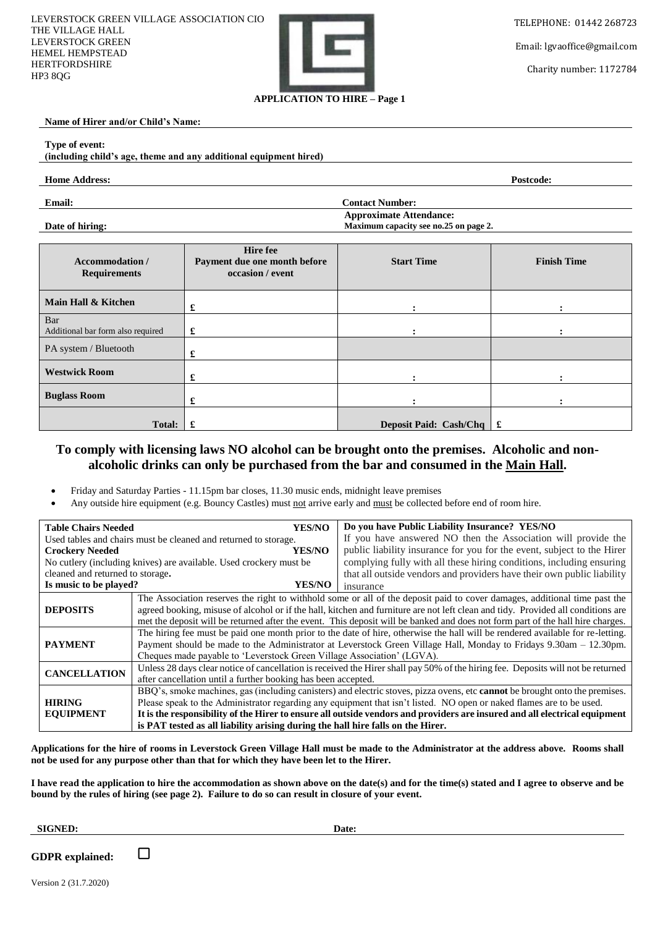

Email: lgvaoffice@gmail.com

Charity number: 1172784

### **Name of Hirer and/or Child's Name:**

#### **Type of event:**

### **(including child's age, theme and any additional equipment hired)**

#### **Home Address: Postcode:**

**Email: Contact Number:** 

**Date of hiring:**

**Approximate Attendance: Maximum capacity see no.25 on page 2.**

| <b>Accommodation</b> /<br><b>Requirements</b> | <b>Hire</b> fee<br>Payment due one month before<br>occasion / event | <b>Start Time</b>                             | <b>Finish Time</b> |
|-----------------------------------------------|---------------------------------------------------------------------|-----------------------------------------------|--------------------|
| Main Hall & Kitchen                           | £                                                                   |                                               |                    |
| Bar<br>Additional bar form also required      | £                                                                   |                                               |                    |
| PA system / Bluetooth                         | £                                                                   |                                               |                    |
| <b>Westwick Room</b>                          | £                                                                   |                                               |                    |
| <b>Buglass Room</b>                           | £                                                                   |                                               |                    |
| Total:                                        | £                                                                   | Deposit Paid: Cash/Chq $\parallel \mathbf{f}$ |                    |

# **To comply with licensing laws NO alcohol can be brought onto the premises. Alcoholic and nonalcoholic drinks can only be purchased from the bar and consumed in the Main Hall.**

- Friday and Saturday Parties 11.15pm bar closes, 11.30 music ends, midnight leave premises
- Any outside hire equipment (e.g. Bouncy Castles) must not arrive early and must be collected before end of room hire.

| <b>YES/NO</b><br><b>Table Chairs Needed</b>                        |                                                                                                                                                                                                                                                                                                                                                                                   | Do you have Public Liability Insurance? YES/NO                         |  |  |
|--------------------------------------------------------------------|-----------------------------------------------------------------------------------------------------------------------------------------------------------------------------------------------------------------------------------------------------------------------------------------------------------------------------------------------------------------------------------|------------------------------------------------------------------------|--|--|
| Used tables and chairs must be cleaned and returned to storage.    |                                                                                                                                                                                                                                                                                                                                                                                   | If you have answered NO then the Association will provide the          |  |  |
| YES/NO-<br><b>Crockery Needed</b>                                  |                                                                                                                                                                                                                                                                                                                                                                                   | public liability insurance for you for the event, subject to the Hirer |  |  |
| No cutlery (including knives) are available. Used crockery must be |                                                                                                                                                                                                                                                                                                                                                                                   | complying fully with all these hiring conditions, including ensuring   |  |  |
| cleaned and returned to storage.                                   |                                                                                                                                                                                                                                                                                                                                                                                   | that all outside vendors and providers have their own public liability |  |  |
| Is music to be played?<br><b>YES/NO</b>                            |                                                                                                                                                                                                                                                                                                                                                                                   | insurance                                                              |  |  |
|                                                                    | The Association reserves the right to withhold some or all of the deposit paid to cover damages, additional time past the                                                                                                                                                                                                                                                         |                                                                        |  |  |
| <b>DEPOSITS</b>                                                    | agreed booking, misuse of alcohol or if the hall, kitchen and furniture are not left clean and tidy. Provided all conditions are                                                                                                                                                                                                                                                  |                                                                        |  |  |
|                                                                    | met the deposit will be returned after the event. This deposit will be banked and does not form part of the hall hire charges.                                                                                                                                                                                                                                                    |                                                                        |  |  |
|                                                                    | The hiring fee must be paid one month prior to the date of hire, otherwise the hall will be rendered available for re-letting.                                                                                                                                                                                                                                                    |                                                                        |  |  |
| <b>PAYMENT</b>                                                     | Payment should be made to the Administrator at Leverstock Green Village Hall, Monday to Fridays 9.30am – 12.30pm.                                                                                                                                                                                                                                                                 |                                                                        |  |  |
|                                                                    | Cheques made payable to 'Leverstock Green Village Association' (LGVA).                                                                                                                                                                                                                                                                                                            |                                                                        |  |  |
| <b>CANCELLATION</b>                                                | Unless 28 days clear notice of cancellation is received the Hirer shall pay 50% of the hiring fee. Deposits will not be returned                                                                                                                                                                                                                                                  |                                                                        |  |  |
|                                                                    | after cancellation until a further booking has been accepted.                                                                                                                                                                                                                                                                                                                     |                                                                        |  |  |
|                                                                    | BBQ's, smoke machines, gas (including canisters) and electric stoves, pizza ovens, etc cannot be brought onto the premises.<br>Please speak to the Administrator regarding any equipment that isn't listed. NO open or naked flames are to be used.<br>It is the responsibility of the Hirer to ensure all outside vendors and providers are insured and all electrical equipment |                                                                        |  |  |
| <b>HIRING</b>                                                      |                                                                                                                                                                                                                                                                                                                                                                                   |                                                                        |  |  |
| <b>EQUIPMENT</b>                                                   |                                                                                                                                                                                                                                                                                                                                                                                   |                                                                        |  |  |
|                                                                    | is PAT tested as all liability arising during the hall hire falls on the Hirer.                                                                                                                                                                                                                                                                                                   |                                                                        |  |  |

**Applications for the hire of rooms in Leverstock Green Village Hall must be made to the Administrator at the address above. Rooms shall not be used for any purpose other than that for which they have been let to the Hirer.**

**I have read the application to hire the accommodation as shown above on the date(s) and for the time(s) stated and I agree to observe and be bound by the rules of hiring (see page 2). Failure to do so can result in closure of your event.**

#### **SIGNED: Date:**

**GDPR explained:**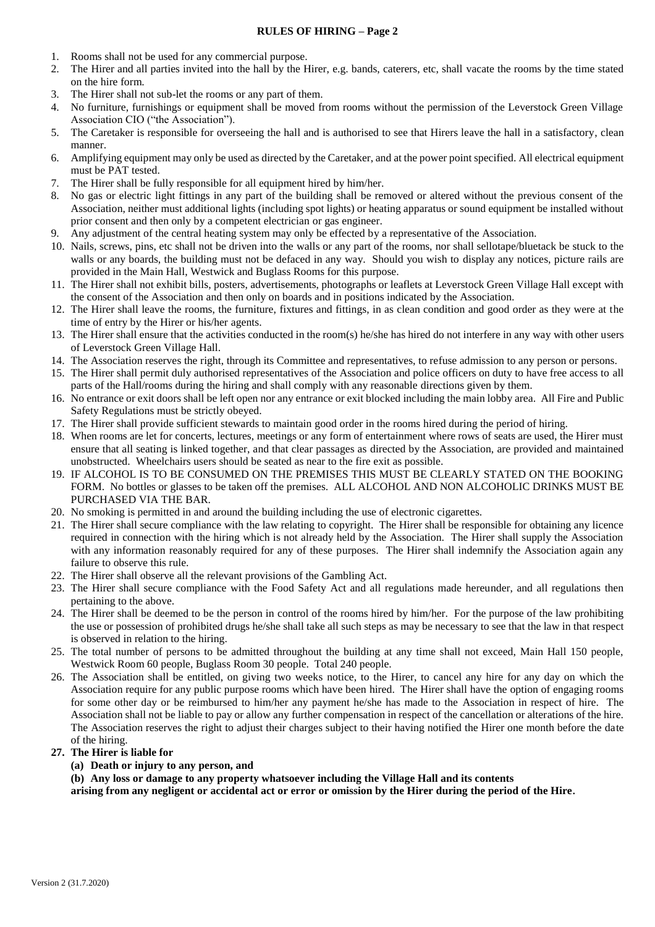#### **RULES OF HIRING – Page 2**

- 1. Rooms shall not be used for any commercial purpose.
- 2. The Hirer and all parties invited into the hall by the Hirer, e.g. bands, caterers, etc, shall vacate the rooms by the time stated on the hire form.
- 3. The Hirer shall not sub-let the rooms or any part of them.
- 4. No furniture, furnishings or equipment shall be moved from rooms without the permission of the Leverstock Green Village Association CIO ("the Association").
- 5. The Caretaker is responsible for overseeing the hall and is authorised to see that Hirers leave the hall in a satisfactory, clean manner.
- 6. Amplifying equipment may only be used as directed by the Caretaker, and at the power point specified. All electrical equipment must be PAT tested.
- 7. The Hirer shall be fully responsible for all equipment hired by him/her.
- 8. No gas or electric light fittings in any part of the building shall be removed or altered without the previous consent of the Association, neither must additional lights (including spot lights) or heating apparatus or sound equipment be installed without prior consent and then only by a competent electrician or gas engineer.
- 9. Any adjustment of the central heating system may only be effected by a representative of the Association.
- 10. Nails, screws, pins, etc shall not be driven into the walls or any part of the rooms, nor shall sellotape/bluetack be stuck to the walls or any boards, the building must not be defaced in any way. Should you wish to display any notices, picture rails are provided in the Main Hall, Westwick and Buglass Rooms for this purpose.
- 11. The Hirer shall not exhibit bills, posters, advertisements, photographs or leaflets at Leverstock Green Village Hall except with the consent of the Association and then only on boards and in positions indicated by the Association.
- 12. The Hirer shall leave the rooms, the furniture, fixtures and fittings, in as clean condition and good order as they were at the time of entry by the Hirer or his/her agents.
- 13. The Hirer shall ensure that the activities conducted in the room(s) he/she has hired do not interfere in any way with other users of Leverstock Green Village Hall.
- 14. The Association reserves the right, through its Committee and representatives, to refuse admission to any person or persons.
- 15. The Hirer shall permit duly authorised representatives of the Association and police officers on duty to have free access to all parts of the Hall/rooms during the hiring and shall comply with any reasonable directions given by them.
- 16. No entrance or exit doors shall be left open nor any entrance or exit blocked including the main lobby area. All Fire and Public Safety Regulations must be strictly obeyed.
- 17. The Hirer shall provide sufficient stewards to maintain good order in the rooms hired during the period of hiring.
- 18. When rooms are let for concerts, lectures, meetings or any form of entertainment where rows of seats are used, the Hirer must ensure that all seating is linked together, and that clear passages as directed by the Association, are provided and maintained unobstructed. Wheelchairs users should be seated as near to the fire exit as possible.
- 19. IF ALCOHOL IS TO BE CONSUMED ON THE PREMISES THIS MUST BE CLEARLY STATED ON THE BOOKING FORM. No bottles or glasses to be taken off the premises. ALL ALCOHOL AND NON ALCOHOLIC DRINKS MUST BE PURCHASED VIA THE BAR.
- 20. No smoking is permitted in and around the building including the use of electronic cigarettes.
- 21. The Hirer shall secure compliance with the law relating to copyright. The Hirer shall be responsible for obtaining any licence required in connection with the hiring which is not already held by the Association. The Hirer shall supply the Association with any information reasonably required for any of these purposes. The Hirer shall indemnify the Association again any failure to observe this rule.
- 22. The Hirer shall observe all the relevant provisions of the Gambling Act.
- 23. The Hirer shall secure compliance with the Food Safety Act and all regulations made hereunder, and all regulations then pertaining to the above.
- 24. The Hirer shall be deemed to be the person in control of the rooms hired by him/her. For the purpose of the law prohibiting the use or possession of prohibited drugs he/she shall take all such steps as may be necessary to see that the law in that respect is observed in relation to the hiring.
- 25. The total number of persons to be admitted throughout the building at any time shall not exceed, Main Hall 150 people, Westwick Room 60 people, Buglass Room 30 people. Total 240 people.
- 26. The Association shall be entitled, on giving two weeks notice, to the Hirer, to cancel any hire for any day on which the Association require for any public purpose rooms which have been hired. The Hirer shall have the option of engaging rooms for some other day or be reimbursed to him/her any payment he/she has made to the Association in respect of hire. The Association shall not be liable to pay or allow any further compensation in respect of the cancellation or alterations of the hire. The Association reserves the right to adjust their charges subject to their having notified the Hirer one month before the date of the hiring.

## **27. The Hirer is liable for**

## **(a) Death or injury to any person, and**

**(b) Any loss or damage to any property whatsoever including the Village Hall and its contents arising from any negligent or accidental act or error or omission by the Hirer during the period of the Hire.**